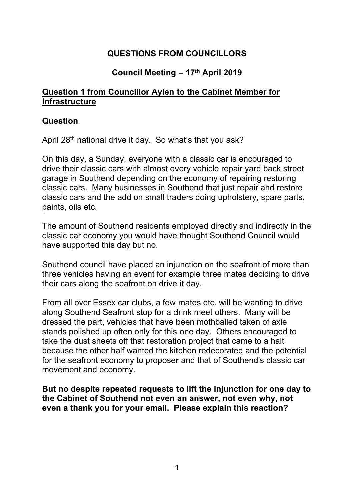# **QUESTIONS FROM COUNCILLORS**

## **Council Meeting – 17th April 2019**

### **Question 1 from Councillor Aylen to the Cabinet Member for Infrastructure**

### **Question**

April 28<sup>th</sup> national drive it day. So what's that you ask?

On this day, a Sunday, everyone with a classic car is encouraged to drive their classic cars with almost every vehicle repair yard back street garage in Southend depending on the economy of repairing restoring classic cars. Many businesses in Southend that just repair and restore classic cars and the add on small traders doing upholstery, spare parts, paints, oils etc.

The amount of Southend residents employed directly and indirectly in the classic car economy you would have thought Southend Council would have supported this day but no.

Southend council have placed an injunction on the seafront of more than three vehicles having an event for example three mates deciding to drive their cars along the seafront on drive it day.

From all over Essex car clubs, a few mates etc. will be wanting to drive along Southend Seafront stop for a drink meet others. Many will be dressed the part, vehicles that have been mothballed taken of axle stands polished up often only for this one day. Others encouraged to take the dust sheets off that restoration project that came to a halt because the other half wanted the kitchen redecorated and the potential for the seafront economy to proposer and that of Southend's classic car movement and economy.

**But no despite repeated requests to lift the injunction for one day to the Cabinet of Southend not even an answer, not even why, not even a thank you for your email. Please explain this reaction?**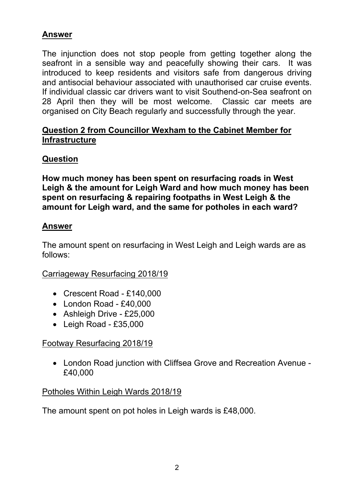## **Answer**

The injunction does not stop people from getting together along the seafront in a sensible way and peacefully showing their cars. It was introduced to keep residents and visitors safe from dangerous driving and antisocial behaviour associated with unauthorised car cruise events. If individual classic car drivers want to visit Southend-on-Sea seafront on 28 April then they will be most welcome. Classic car meets are organised on City Beach regularly and successfully through the year.

## **Question 2 from Councillor Wexham to the Cabinet Member for Infrastructure**

# **Question**

**How much money has been spent on resurfacing roads in West Leigh & the amount for Leigh Ward and how much money has been spent on resurfacing & repairing footpaths in West Leigh & the amount for Leigh ward, and the same for potholes in each ward?**

## **Answer**

The amount spent on resurfacing in West Leigh and Leigh wards are as follows:

## Carriageway Resurfacing 2018/19

- Crescent Road £140,000
- London Road £40,000
- Ashleigh Drive £25,000
- Leigh Road £35,000

# Footway Resurfacing 2018/19

 London Road junction with Cliffsea Grove and Recreation Avenue - £40,000

## Potholes Within Leigh Wards 2018/19

The amount spent on pot holes in Leigh wards is £48,000.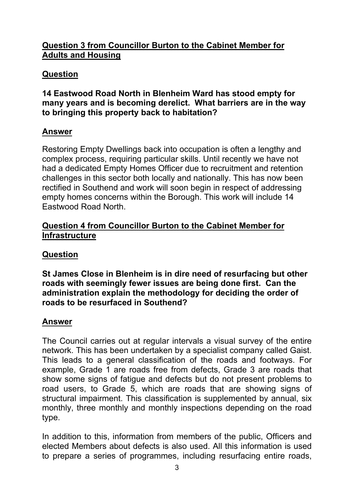## **Question 3 from Councillor Burton to the Cabinet Member for Adults and Housing**

# **Question**

### **14 Eastwood Road North in Blenheim Ward has stood empty for many years and is becoming derelict. What barriers are in the way to bringing this property back to habitation?**

# **Answer**

Restoring Empty Dwellings back into occupation is often a lengthy and complex process, requiring particular skills. Until recently we have not had a dedicated Empty Homes Officer due to recruitment and retention challenges in this sector both locally and nationally. This has now been rectified in Southend and work will soon begin in respect of addressing empty homes concerns within the Borough. This work will include 14 Eastwood Road North.

### **Question 4 from Councillor Burton to the Cabinet Member for Infrastructure**

# **Question**

**St James Close in Blenheim is in dire need of resurfacing but other roads with seemingly fewer issues are being done first. Can the administration explain the methodology for deciding the order of roads to be resurfaced in Southend?**

## **Answer**

The Council carries out at regular intervals a visual survey of the entire network. This has been undertaken by a specialist company called Gaist. This leads to a general classification of the roads and footways. For example, Grade 1 are roads free from defects, Grade 3 are roads that show some signs of fatigue and defects but do not present problems to road users, to Grade 5, which are roads that are showing signs of structural impairment. This classification is supplemented by annual, six monthly, three monthly and monthly inspections depending on the road type.

In addition to this, information from members of the public, Officers and elected Members about defects is also used. All this information is used to prepare a series of programmes, including resurfacing entire roads,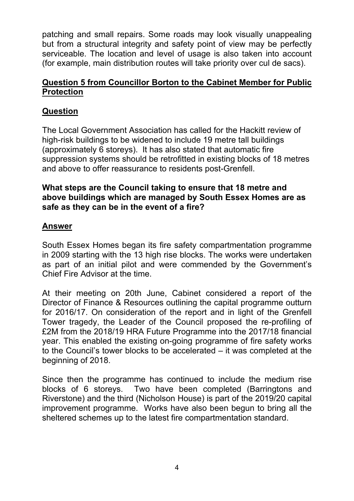patching and small repairs. Some roads may look visually unappealing but from a structural integrity and safety point of view may be perfectly serviceable. The location and level of usage is also taken into account (for example, main distribution routes will take priority over cul de sacs).

### **Question 5 from Councillor Borton to the Cabinet Member for Public Protection**

# **Question**

The Local Government Association has called for the Hackitt review of high-risk buildings to be widened to include 19 metre tall buildings (approximately 6 storeys). It has also stated that automatic fire suppression systems should be retrofitted in existing blocks of 18 metres and above to offer reassurance to residents post-Grenfell.

### **What steps are the Council taking to ensure that 18 metre and above buildings which are managed by South Essex Homes are as safe as they can be in the event of a fire?**

## **Answer**

South Essex Homes began its fire safety compartmentation programme in 2009 starting with the 13 high rise blocks. The works were undertaken as part of an initial pilot and were commended by the Government's Chief Fire Advisor at the time.

At their meeting on 20th June, Cabinet considered a report of the Director of Finance & Resources outlining the capital programme outturn for 2016/17. On consideration of the report and in light of the Grenfell Tower tragedy, the Leader of the Council proposed the re-profiling of £2M from the 2018/19 HRA Future Programme into the 2017/18 financial year. This enabled the existing on-going programme of fire safety works to the Council's tower blocks to be accelerated – it was completed at the beginning of 2018.

Since then the programme has continued to include the medium rise blocks of 6 storeys. Two have been completed (Barringtons and Riverstone) and the third (Nicholson House) is part of the 2019/20 capital improvement programme. Works have also been begun to bring all the sheltered schemes up to the latest fire compartmentation standard.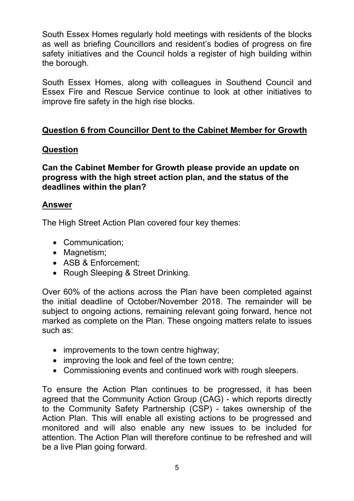South Essex Homes regularly hold meetings with residents of the blocks as well as briefing Councillors and resident's bodies of progress on fire safety initiatives and the Council holds a register of high building within the borough.

South Essex Homes, along with colleagues in Southend Council and Essex Fire and Rescue Service continue to look at other initiatives to improve fire safety in the high rise blocks.

## **Question 6 from Councillor Dent to the Cabinet Member for Growth**

## **Question**

**Can the Cabinet Member for Growth please provide an update on progress with the high street action plan, and the status of the deadlines within the plan?**

### **Answer**

The High Street Action Plan covered four key themes:

- Communication;
- Magnetism;
- ASB & Enforcement:
- Rough Sleeping & Street Drinking.

Over 60% of the actions across the Plan have been completed against the initial deadline of October/November 2018. The remainder will be subject to ongoing actions, remaining relevant going forward, hence not marked as complete on the Plan. These ongoing matters relate to issues such as:

- improvements to the town centre highway;
- improving the look and feel of the town centre;
- Commissioning events and continued work with rough sleepers.

To ensure the Action Plan continues to be progressed, it has been agreed that the Community Action Group (CAG) - which reports directly to the Community Safety Partnership (CSP) - takes ownership of the Action Plan. This will enable all existing actions to be progressed and monitored and will also enable any new issues to be included for attention. The Action Plan will therefore continue to be refreshed and will be a live Plan going forward.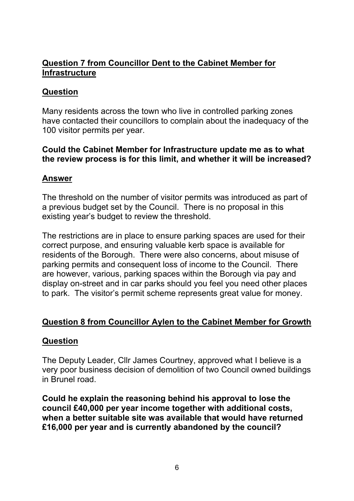### **Question 7 from Councillor Dent to the Cabinet Member for Infrastructure**

### **Question**

Many residents across the town who live in controlled parking zones have contacted their councillors to complain about the inadequacy of the 100 visitor permits per year.

### **Could the Cabinet Member for Infrastructure update me as to what the review process is for this limit, and whether it will be increased?**

#### **Answer**

The threshold on the number of visitor permits was introduced as part of a previous budget set by the Council. There is no proposal in this existing year's budget to review the threshold.

The restrictions are in place to ensure parking spaces are used for their correct purpose, and ensuring valuable kerb space is available for residents of the Borough. There were also concerns, about misuse of parking permits and consequent loss of income to the Council. There are however, various, parking spaces within the Borough via pay and display on-street and in car parks should you feel you need other places to park. The visitor's permit scheme represents great value for money.

### **Question 8 from Councillor Aylen to the Cabinet Member for Growth**

### **Question**

The Deputy Leader, Cllr James Courtney, approved what I believe is a very poor business decision of demolition of two Council owned buildings in Brunel road.

**Could he explain the reasoning behind his approval to lose the council £40,000 per year income together with additional costs, when a better suitable site was available that would have returned £16,000 per year and is currently abandoned by the council?**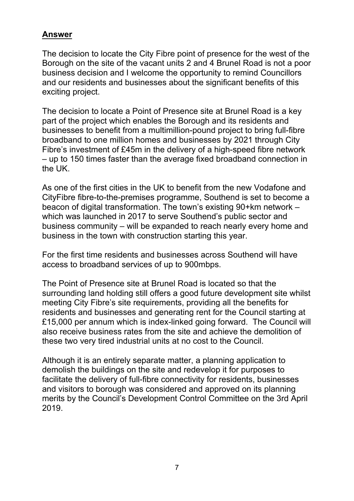### **Answer**

The decision to locate the City Fibre point of presence for the west of the Borough on the site of the vacant units 2 and 4 Brunel Road is not a poor business decision and I welcome the opportunity to remind Councillors and our residents and businesses about the significant benefits of this exciting project.

The decision to locate a Point of Presence site at Brunel Road is a key part of the project which enables the Borough and its residents and businesses to benefit from a multimillion-pound project to bring full-fibre broadband to one million homes and businesses by 2021 through City Fibre's investment of £45m in the delivery of a high-speed fibre network – up to 150 times faster than the average fixed broadband connection in the UK.

As one of the first cities in the UK to benefit from the new Vodafone and CityFibre fibre-to-the-premises programme, Southend is set to become a beacon of digital transformation. The town's existing 90+km network – which was launched in 2017 to serve Southend's public sector and business community – will be expanded to reach nearly every home and business in the town with construction starting this year.

For the first time residents and businesses across Southend will have access to broadband services of up to 900mbps.

The Point of Presence site at Brunel Road is located so that the surrounding land holding still offers a good future development site whilst meeting City Fibre's site requirements, providing all the benefits for residents and businesses and generating rent for the Council starting at £15,000 per annum which is index-linked going forward. The Council will also receive business rates from the site and achieve the demolition of these two very tired industrial units at no cost to the Council.

Although it is an entirely separate matter, a planning application to demolish the buildings on the site and redevelop it for purposes to facilitate the delivery of full-fibre connectivity for residents, businesses and visitors to borough was considered and approved on its planning merits by the Council's Development Control Committee on the 3rd April 2019.